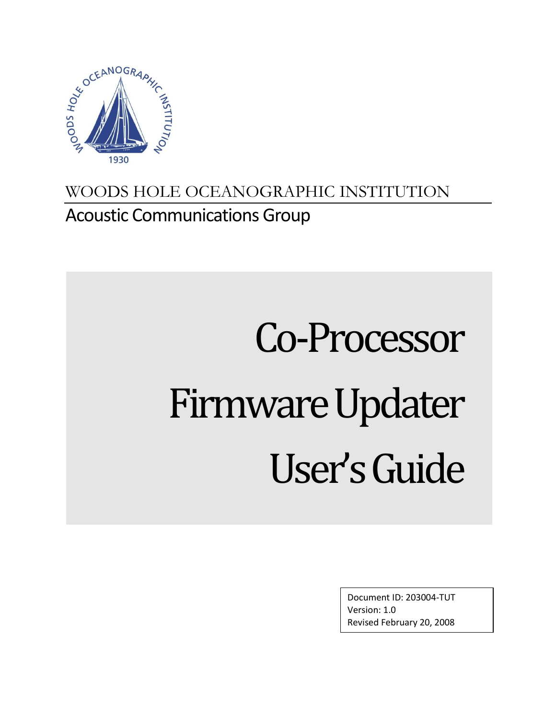

# WOODS HOLE OCEANOGRAPHIC INSTITUTION Acoustic Communications Group

# Co-Processor Firmware Updater User's Guide

Document ID: 203004-TUT Version: 1.0 Revised February 20, 2008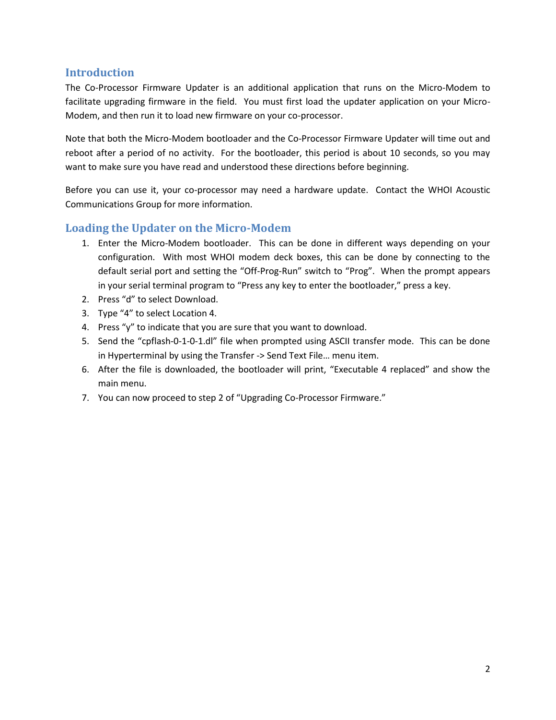#### **Introduction**

The Co-Processor Firmware Updater is an additional application that runs on the Micro-Modem to facilitate upgrading firmware in the field. You must first load the updater application on your Micro-Modem, and then run it to load new firmware on your co-processor.

Note that both the Micro-Modem bootloader and the Co-Processor Firmware Updater will time out and reboot after a period of no activity. For the bootloader, this period is about 10 seconds, so you may want to make sure you have read and understood these directions before beginning.

Before you can use it, your co-processor may need a hardware update. Contact the WHOI Acoustic Communications Group for more information.

## **Loading the Updater on the Micro-Modem**

- 1. Enter the Micro-Modem bootloader. This can be done in different ways depending on your configuration. With most WHOI modem deck boxes, this can be done by connecting to the default serial port and setting the "Off-Prog-Run" switch to "Prog". When the prompt appears in your serial terminal program to "Press any key to enter the bootloader," press a key.
- 2. Press "d" to select Download.
- 3. Type "4" to select Location 4.
- 4. Press "y" to indicate that you are sure that you want to download.
- 5. Send the "cpflash-0-1-0-1.dl" file when prompted using ASCII transfer mode. This can be done in Hyperterminal by using the Transfer -> Send Text File… menu item.
- 6. After the file is downloaded, the bootloader will print, "Executable 4 replaced" and show the main menu.
- 7. You can now proceed to step 2 of "Upgrading Co-Processor Firmware."